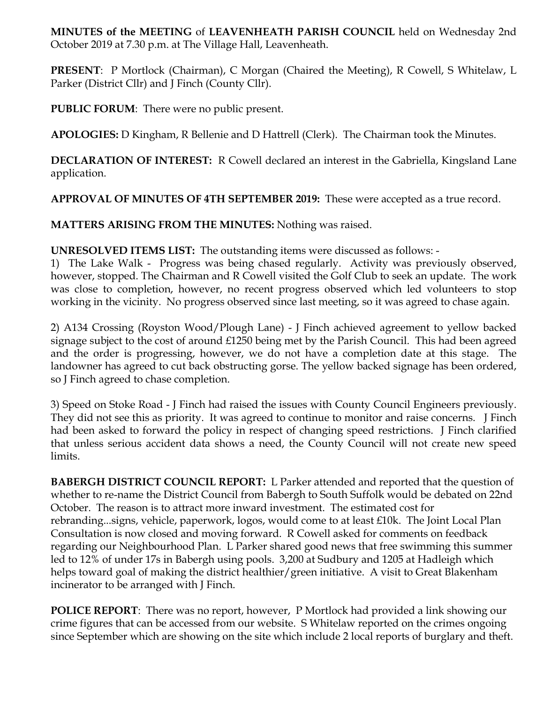**MINUTES of the MEETING** of **LEAVENHEATH PARISH COUNCIL** held on Wednesday 2nd October 2019 at 7.30 p.m. at The Village Hall, Leavenheath.

**PRESENT**: P Mortlock (Chairman), C Morgan (Chaired the Meeting), R Cowell, S Whitelaw, L Parker (District Cllr) and J Finch (County Cllr).

**PUBLIC FORUM**: There were no public present.

**APOLOGIES:** D Kingham, R Bellenie and D Hattrell (Clerk). The Chairman took the Minutes.

**DECLARATION OF INTEREST:** R Cowell declared an interest in the Gabriella, Kingsland Lane application.

**APPROVAL OF MINUTES OF 4TH SEPTEMBER 2019:** These were accepted as a true record.

**MATTERS ARISING FROM THE MINUTES:** Nothing was raised.

**UNRESOLVED ITEMS LIST:** The outstanding items were discussed as follows: -

1) The Lake Walk - Progress was being chased regularly. Activity was previously observed, however, stopped. The Chairman and R Cowell visited the Golf Club to seek an update. The work was close to completion, however, no recent progress observed which led volunteers to stop working in the vicinity. No progress observed since last meeting, so it was agreed to chase again.

2) A134 Crossing (Royston Wood/Plough Lane) - J Finch achieved agreement to yellow backed signage subject to the cost of around £1250 being met by the Parish Council. This had been agreed and the order is progressing, however, we do not have a completion date at this stage. The landowner has agreed to cut back obstructing gorse. The yellow backed signage has been ordered, so J Finch agreed to chase completion.

3) Speed on Stoke Road - J Finch had raised the issues with County Council Engineers previously. They did not see this as priority. It was agreed to continue to monitor and raise concerns. J Finch had been asked to forward the policy in respect of changing speed restrictions. J Finch clarified that unless serious accident data shows a need, the County Council will not create new speed limits.

**BABERGH DISTRICT COUNCIL REPORT:** L Parker attended and reported that the question of whether to re-name the District Council from Babergh to South Suffolk would be debated on 22nd October. The reason is to attract more inward investment. The estimated cost for rebranding...signs, vehicle, paperwork, logos, would come to at least £10k. The Joint Local Plan Consultation is now closed and moving forward. R Cowell asked for comments on feedback regarding our Neighbourhood Plan. L Parker shared good news that free swimming this summer led to 12% of under 17s in Babergh using pools. 3,200 at Sudbury and 1205 at Hadleigh which helps toward goal of making the district healthier/green initiative. A visit to Great Blakenham incinerator to be arranged with J Finch.

**POLICE REPORT**: There was no report, however, P Mortlock had provided a link showing our crime figures that can be accessed from our website. S Whitelaw reported on the crimes ongoing since September which are showing on the site which include 2 local reports of burglary and theft.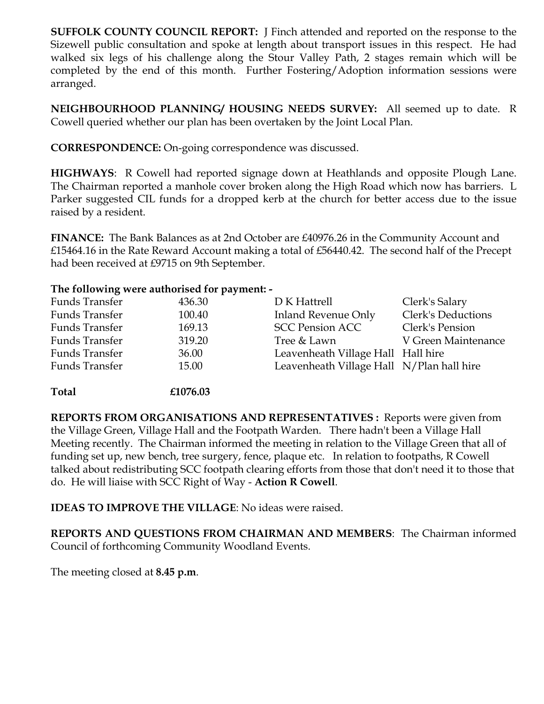**SUFFOLK COUNTY COUNCIL REPORT:** J Finch attended and reported on the response to the Sizewell public consultation and spoke at length about transport issues in this respect. He had walked six legs of his challenge along the Stour Valley Path, 2 stages remain which will be completed by the end of this month. Further Fostering/Adoption information sessions were arranged.

**NEIGHBOURHOOD PLANNING/ HOUSING NEEDS SURVEY:** All seemed up to date. R Cowell queried whether our plan has been overtaken by the Joint Local Plan.

**CORRESPONDENCE:** On-going correspondence was discussed.

**HIGHWAYS**: R Cowell had reported signage down at Heathlands and opposite Plough Lane. The Chairman reported a manhole cover broken along the High Road which now has barriers. L Parker suggested CIL funds for a dropped kerb at the church for better access due to the issue raised by a resident.

**FINANCE:** The Bank Balances as at 2nd October are £40976.26 in the Community Account and £15464.16 in the Rate Reward Account making a total of £56440.42. The second half of the Precept had been received at £9715 on 9th September.

## **The following were authorised for payment: -**

| Funds Transfer | 436.30 | D K Hattrell                              | Clerk's Salary            |
|----------------|--------|-------------------------------------------|---------------------------|
| Funds Transfer | 100.40 | <b>Inland Revenue Only</b>                | <b>Clerk's Deductions</b> |
| Funds Transfer | 169.13 | <b>SCC Pension ACC</b>                    | Clerk's Pension           |
| Funds Transfer | 319.20 | Tree & Lawn                               | V Green Maintenance       |
| Funds Transfer | 36.00  | Leavenheath Village Hall Hall hire        |                           |
| Funds Transfer | 15.00  | Leavenheath Village Hall N/Plan hall hire |                           |
|                |        |                                           |                           |

**Total £1076.03**

**REPORTS FROM ORGANISATIONS AND REPRESENTATIVES :** Reports were given from the Village Green, Village Hall and the Footpath Warden. There hadn't been a Village Hall Meeting recently. The Chairman informed the meeting in relation to the Village Green that all of funding set up, new bench, tree surgery, fence, plaque etc. In relation to footpaths, R Cowell talked about redistributing SCC footpath clearing efforts from those that don't need it to those that do. He will liaise with SCC Right of Way - **Action R Cowell**.

**IDEAS TO IMPROVE THE VILLAGE**: No ideas were raised.

**REPORTS AND QUESTIONS FROM CHAIRMAN AND MEMBERS**: The Chairman informed Council of forthcoming Community Woodland Events.

The meeting closed at **8.45 p.m**.